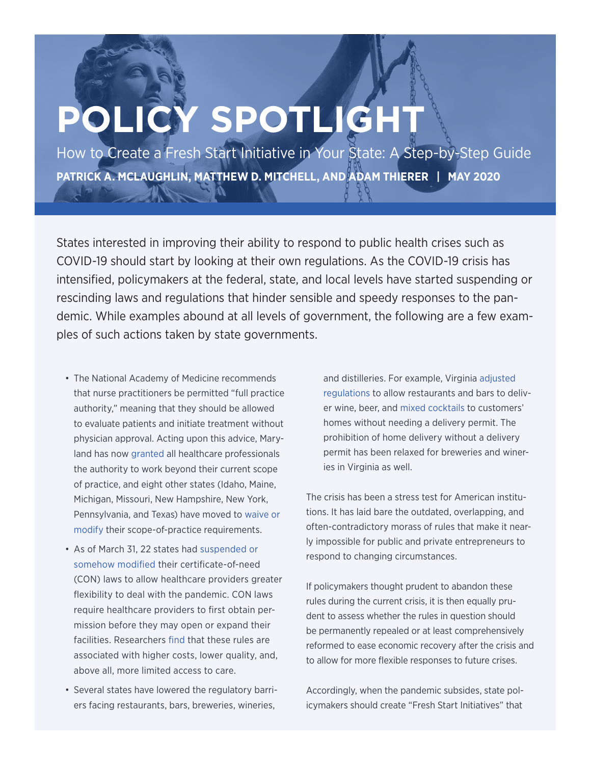# **POLICY SPOTLIGHT**

How to Create a Fresh Start Initiative in Your State: A Step-by-Step Guide **PATRICK A. MCLAUGHLIN, MATTHEW D. MITCHELL, AND ADAM THIERER | MAY 2020**

States interested in improving their ability to respond to public health crises such as COVID-19 should start by looking at their own regulations. As the COVID-19 crisis has intensified, policymakers at the federal, state, and local levels have started suspending or rescinding laws and regulations that hinder sensible and speedy responses to the pandemic. While examples abound at all levels of government, the following are a few examples of such actions taken by state governments.

- The National Academy of Medicine recommends that nurse practitioners be permitted "full practice authority," meaning that they should be allowed to evaluate patients and initiate treatment without physician approval. Acting upon this advice, Maryland has now [granted](https://www.mercatus.org/system/files/timmons_bayne_and_norris_-_policy_brief_-_covid_series_-_a_primer_on_emergency_occupational_licensing_reforms_for_combating_covid-19_-_v1.pdf) all healthcare professionals the authority to work beyond their current scope of practice, and eight other states (Idaho, Maine, Michigan, Missouri, New Hampshire, New York, Pennsylvania, and Texas) have moved to [waive or](https://www.mercatus.org/system/files/timmons_bayne_and_norris_-_policy_brief_-_covid_series_-_a_primer_on_emergency_occupational_licensing_reforms_for_combating_covid-19_-_v1.pdf) [modify](https://www.mercatus.org/system/files/timmons_bayne_and_norris_-_policy_brief_-_covid_series_-_a_primer_on_emergency_occupational_licensing_reforms_for_combating_covid-19_-_v1.pdf) their scope-of-practice requirements.
- As of March 31, 22 states had [suspended or](https://pacificlegal.org/certificate-of-need-laws-covid-19/) [somehow modified](https://pacificlegal.org/certificate-of-need-laws-covid-19/) their certificate-of-need (CON) laws to allow healthcare providers greater flexibility to deal with the pandemic. CON laws require healthcare providers to first obtain permission before they may open or expand their facilities. Researchers [find](https://www.mercatus.org/system/files/mitchell-con-qa-mop-mercatus-v2.pdf) that these rules are associated with higher costs, lower quality, and, above all, more limited access to care.
- Several states have lowered the regulatory barriers facing restaurants, bars, breweries, wineries,

and distilleries. For example, Virginia [adjusted](http://www.abcdeb.net/DMSImage/51220200320120031346/0.pdf) [regulations](http://www.abcdeb.net/DMSImage/51220200320120031346/0.pdf) to allow restaurants and bars to deliver wine, beer, and [mixed cocktails](https://www.abc.virginia.gov/covid-19) to customers' homes without needing a delivery permit. The prohibition of home delivery without a delivery permit has been relaxed for breweries and wineries in Virginia as well.

The crisis has been a stress test for American institutions. It has laid bare the outdated, overlapping, and often-contradictory morass of rules that make it nearly impossible for public and private entrepreneurs to respond to changing circumstances.

If policymakers thought prudent to abandon these rules during the current crisis, it is then equally prudent to assess whether the rules in question should be permanently repealed or at least comprehensively reformed to ease economic recovery after the crisis and to allow for more flexible responses to future crises.

Accordingly, when the pandemic subsides, state policymakers should create "Fresh Start Initiatives" that